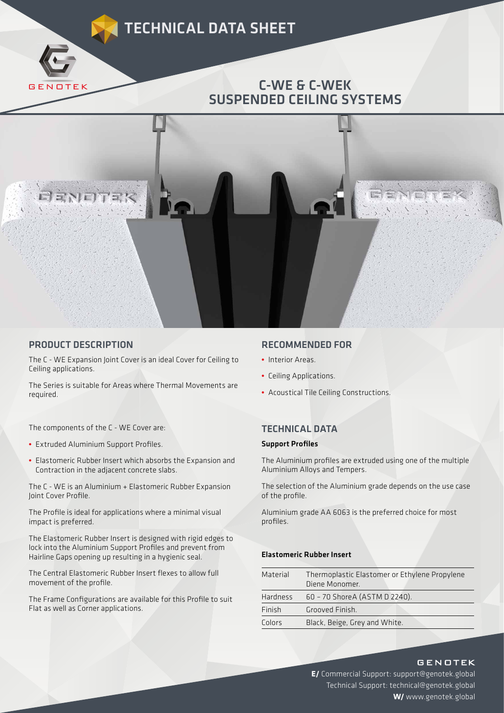# TECHNICAL DATA SHEET

## C-WE & C-WEK SUSPENDED CEILING SYSTEMS



### PRODUCT DESCRIPTION

GENOTEK

The C - WE Expansion Joint Cover is an ideal Cover for Ceiling to Ceiling applications.

The Series is suitable for Areas where Thermal Movements are required.

The components of the C - WE Cover are:

- Extruded Aluminium Support Profiles.
- Elastomeric Rubber Insert which absorbs the Expansion and Contraction in the adjacent concrete slabs.

The C - WE is an Aluminium + Elastomeric Rubber Expansion Joint Cover Profile.

The Profile is ideal for applications where a minimal visual impact is preferred.

The Elastomeric Rubber Insert is designed with rigid edges to lock into the Aluminium Support Profiles and prevent from Hairline Gaps opening up resulting in a hygienic seal.

The Central Elastomeric Rubber Insert flexes to allow full movement of the profile.

The Frame Configurations are available for this Profile to suit Flat as well as Corner applications.

## RECOMMENDED FOR

- Interior Areas.
- Ceiling Applications.
- Acoustical Tile Ceiling Constructions.

## TECHNICAL DATA

#### **Support Profiles**

The Aluminium profiles are extruded using one of the multiple Aluminium Alloys and Tempers.

The selection of the Aluminium grade depends on the use case of the profile.

Aluminium grade AA 6063 is the preferred choice for most profiles.

#### Elastomeric Rubber Insert

| Material        | Thermoplastic Elastomer or Ethylene Propylene<br>Diene Monomer. |
|-----------------|-----------------------------------------------------------------|
| <b>Hardness</b> | 60 - 70 ShoreA (ASTM D 2240).                                   |
| Finish          | Grooved Finish.                                                 |
| Colors          | Black, Beige, Grey and White.                                   |

**GENOTEK** 

**E/** Commercial Support: support@genotek.global Technical Support: technical@genotek.global **W/** www.genotek.global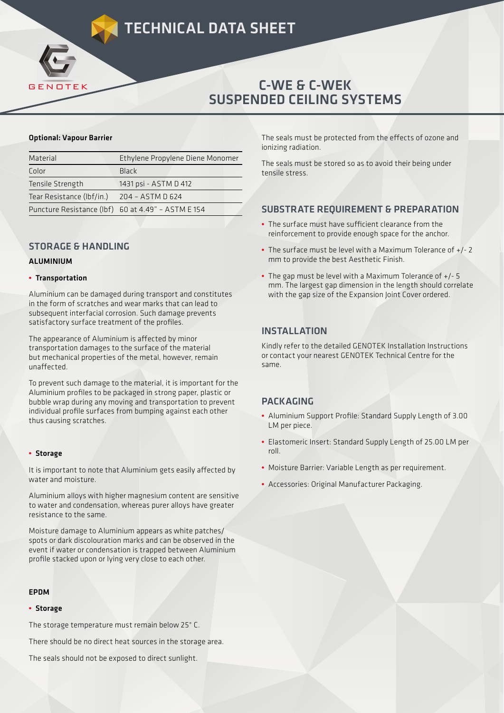## C-WE & C-WEK SUSPENDED CEILING SYSTEMS

#### Optional: Vapour Barrier

GENOTEK

| Material                  | Ethylene Propylene Diene Monomer                   |  |  |  |  |
|---------------------------|----------------------------------------------------|--|--|--|--|
| Color                     | Black                                              |  |  |  |  |
| Tensile Strength          | 1431 psi - ASTM D 412                              |  |  |  |  |
| Tear Resistance (Ibf/in.) | 204 - ASTM D 624                                   |  |  |  |  |
|                           | Puncture Resistance (lbf) 60 at 4.49" - ASTM E 154 |  |  |  |  |

## STORAGE & HANDLING

### ALUMINIUM

#### **•** Transportation

Aluminium can be damaged during transport and constitutes in the form of scratches and wear marks that can lead to subsequent interfacial corrosion. Such damage prevents satisfactory surface treatment of the profiles.

The appearance of Aluminium is affected by minor transportation damages to the surface of the material but mechanical properties of the metal, however, remain unaffected.

To prevent such damage to the material, it is important for the Aluminium profiles to be packaged in strong paper, plastic or bubble wrap during any moving and transportation to prevent individual profile surfaces from bumping against each other thus causing scratches.

#### **•** Storage

It is important to note that Aluminium gets easily affected by water and moisture.

Aluminium alloys with higher magnesium content are sensitive to water and condensation, whereas purer alloys have greater resistance to the same.

Moisture damage to Aluminium appears as white patches/ spots or dark discolouration marks and can be observed in the event if water or condensation is trapped between Aluminium profile stacked upon or lying very close to each other.

#### EPDM

#### **•** Storage

The storage temperature must remain below 25° C.

There should be no direct heat sources in the storage area.

The seals should not be exposed to direct sunlight.

The seals must be protected from the effects of ozone and ionizing radiation.

The seals must be stored so as to avoid their being under tensile stress.

## SUBSTRATE REQUIREMENT & PREPARATION

- The surface must have sufficient clearance from the reinforcement to provide enough space for the anchor.
- The surface must be level with a Maximum Tolerance of +/- 2 mm to provide the best Aesthetic Finish.
- The gap must be level with a Maximum Tolerance of +/- 5 mm. The largest gap dimension in the length should correlate with the gap size of the Expansion Joint Cover ordered.

## INSTALLATION

Kindly refer to the detailed GENOTEK Installation Instructions or contact your nearest GENOTEK Technical Centre for the same.

## **PACKAGING**

- Aluminium Support Profile: Standard Supply Length of 3.00 LM per piece.
- Elastomeric Insert: Standard Supply Length of 25.00 LM per roll.
- Moisture Barrier: Variable Length as per requirement.
- Accessories: Original Manufacturer Packaging.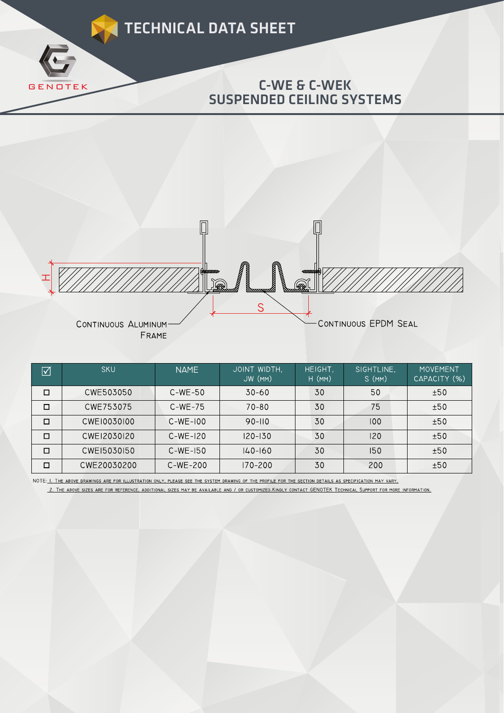



| $\blacktriangledown$ | <b>SKU</b>  | <b>NAME</b> | JOINT WIDTH,<br>JW (MM) | HEIGHT.<br>$H$ (MM) | SIGHTLINE,<br>S(MM) | <b>MOVEMENT</b><br>CAPACITY (%) |
|----------------------|-------------|-------------|-------------------------|---------------------|---------------------|---------------------------------|
| $\Box$               | CWE503050   | $C-WE-50$   | $30 - 60$               | 30                  | 50                  | ±50                             |
| $\Box$               | CWE753075   | $C-WE-75$   | $70 - 80$               | 30                  | 75                  | ±50                             |
| $\Box$               | CWE10030100 | $C-WE-100$  | $90 - 110$              | 30                  | 100                 | ±50                             |
| □                    | CWE12030120 | $C-WE-120$  | $120 - 130$             | 30                  | 120                 | ±50                             |
| □                    | CWEI5030150 | $C-WE-150$  | $140 - 160$             | 30                  | 150                 | ±50                             |
| □                    | CWE20030200 | $C-WE-200$  | 170-200                 | 30                  | 200                 | ±50                             |

NOTE: I. THE ABOVE DRAWINGS ARE FOR ILLUSTRATION ONLY, PLEASE SEE THE SYSTEM DRAWING OF THE PROFILE FOR THE SECTION DETAILS AS SPECIFICATION MAY VARY. 2. THE ABOVE SIZES ARE FOR REFERENCE, ADDITIONAL SIZES MAY BE AVAILABLE AND / OR CUSTOMIZED.KINDLY CONTACT GENOTEK TECHNICAL SUPPORT FOR MORE INFORMATION.